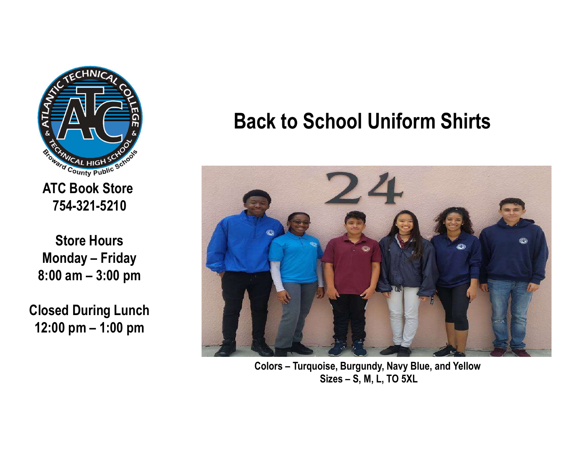

ATC Book Store 754-321-5210

Store Hours

Closed During Lunch

## Back to School Uniform Shirts